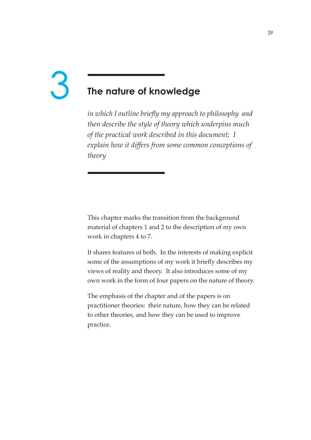# **The nature of knowledge** 3

*in which I outline briefly my approach to philosophy and then describe the style of theory which underpins much of the practical work described in this document; I explain how it differs from some common conceptions of theory* 

This chapter marks the transition from the background material of chapters 1 and 2 to the description of my own work in chapters 4 to 7.

It shares features of both. In the interests of making explicit some of the assumptions of my work it briefly describes my views of reality and theory. It also introduces some of my own work in the form of four papers on the nature of theory.

The emphasis of the chapter and of the papers is on practitioner theories: their nature, how they can be related to other theories, and how they can be used to improve practice.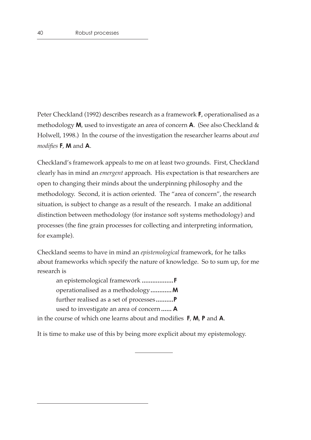Peter Checkland (1992) describes research as a framework **F,** operationalised as a methodology **M**, used to investigate an area of concern **A**. (See also Checkland & Holwell, 1998.) In the course of the investigation the researcher learns about *and modifies* **F**, **M** and **A**.

Checkland's framework appeals to me on at least two grounds. First, Checkland clearly has in mind an *emergent* approach. His expectation is that researchers are open to changing their minds about the underpinning philosophy and the methodology. Second, it is action oriented. The "area of concern", the research situation, is subject to change as a result of the research. I make an additional distinction between methodology (for instance soft systems methodology) and processes (the fine grain processes for collecting and interpreting information, for example).

Checkland seems to have in mind an *epistemological* framework, for he talks about frameworks which specify the nature of knowledge. So to sum up, for me research is

an epistemological framework **..................F** operationalised as a methodology**............M** further realised as a set of processes **..........P** used to investigate an area of concern**...... A**

in the course of which one learns about and modifies **F**, **M**, **P** and **A**.

It is time to make use of this by being more explicit about my epistemology.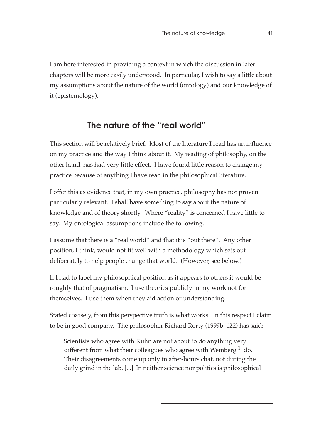I am here interested in providing a context in which the discussion in later chapters will be more easily understood. In particular, I wish to say a little about my assumptions about the nature of the world (ontology) and our knowledge of it (epistemology).

## **The nature of the "real world"**

This section will be relatively brief. Most of the literature I read has an influence on my practice and the way I think about it. My reading of philosophy, on the other hand, has had very little effect. I have found little reason to change my practice because of anything I have read in the philosophical literature.

I offer this as evidence that, in my own practice, philosophy has not proven particularly relevant. I shall have something to say about the nature of knowledge and of theory shortly. Where "reality" is concerned I have little to say. My ontological assumptions include the following.

I assume that there is a "real world" and that it is "out there". Any other position, I think, would not fit well with a methodology which sets out deliberately to help people change that world. (However, see below.)

If I had to label my philosophical position as it appears to others it would be roughly that of pragmatism. I use theories publicly in my work not for themselves. I use them when they aid action or understanding.

Stated coarsely, from this perspective truth is what works. In this respect I claim to be in good company. The philosopher Richard Rorty (1999b: 122) has said:

 Scientists who agree with Kuhn are not about to do anything very different from what their colleagues who agree with Weinberg  $\frac{1}{1}$  do. Their disagreements come up only in after-hours chat, not during the daily grind in the lab. [...] In neither science nor politics is philosophical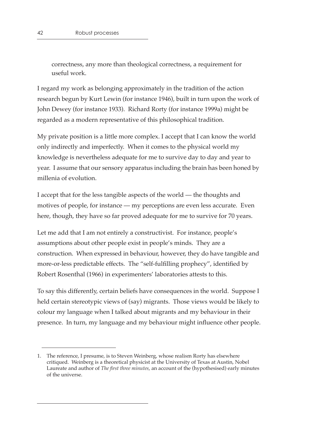correctness, any more than theological correctness, a requirement for useful work.

I regard my work as belonging approximately in the tradition of the action research begun by Kurt Lewin (for instance 1946), built in turn upon the work of John Dewey (for instance 1933). Richard Rorty (for instance 1999a) might be regarded as a modern representative of this philosophical tradition.

My private position is a little more complex. I accept that I can know the world only indirectly and imperfectly. When it comes to the physical world my knowledge is nevertheless adequate for me to survive day to day and year to year. I assume that our sensory apparatus including the brain has been honed by millenia of evolution.

I accept that for the less tangible aspects of the world — the thoughts and motives of people, for instance — my perceptions are even less accurate. Even here, though, they have so far proved adequate for me to survive for 70 years.

Let me add that I am not entirely a constructivist. For instance, people's assumptions about other people exist in people's minds. They are a construction. When expressed in behaviour, however, they do have tangible and more-or-less predictable effects. The "self-fulfilling prophecy", identified by Robert Rosenthal (1966) in experimenters' laboratories attests to this.

To say this differently, certain beliefs have consequences in the world. Suppose I held certain stereotypic views of (say) migrants. Those views would be likely to colour my language when I talked about migrants and my behaviour in their presence. In turn, my language and my behaviour might influence other people.

<sup>1.</sup> The reference, I presume, is to Steven Weinberg, whose realism Rorty has elsewhere critiqued. Weinberg is a theoretical physicist at the University of Texas at Austin, Nobel Laureate and author of *The first three minutes*, an account of the (hypothesised) early minutes of the universe.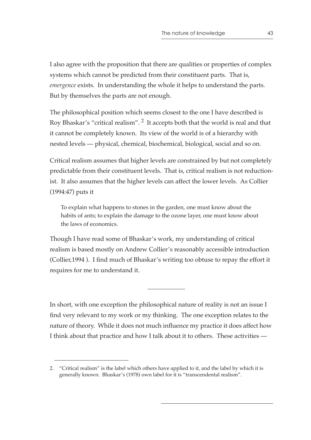I also agree with the proposition that there are qualities or properties of complex systems which cannot be predicted from their constituent parts. That is, *emergence* exists. In understanding the whole it helps to understand the parts. But by themselves the parts are not enough.

The philosophical position which seems closest to the one I have described is Roy Bhaskar's "critical realism". 2 It accepts both that the world is real and that it cannot be completely known. Its view of the world is of a hierarchy with nested levels — physical, chemical, biochemical, biological, social and so on.

Critical realism assumes that higher levels are constrained by but not completely predictable from their constituent levels. That is, critical realism is not reductionist. It also assumes that the higher levels can affect the lower levels. As Collier (1994:47) puts it

To explain what happens to stones in the garden, one must know about the habits of ants; to explain the damage to the ozone layer, one must know about the laws of economics.

Though I have read some of Bhaskar's work, my understanding of critical realism is based mostly on Andrew Collier's reasonably accessible introduction (Collier,1994 ). I find much of Bhaskar's writing too obtuse to repay the effort it requires for me to understand it.

In short, with one exception the philosophical nature of reality is not an issue I find very relevant to my work or my thinking. The one exception relates to the nature of theory. While it does not much influence my practice it does affect how I think about that practice and how I talk about it to others. These activities —

<sup>2. &</sup>quot;Critical realism" is the label which others have applied to it, and the label by which it is generally known. Bhaskar's (1978) own label for it is "transcendental realism".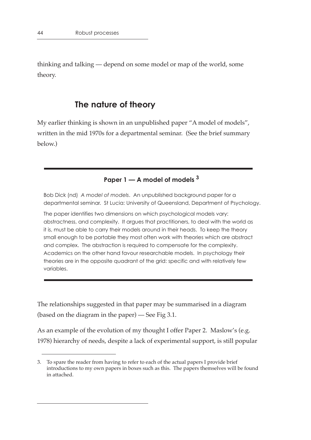thinking and talking — depend on some model or map of the world, some theory.

## **The nature of theory**

My earlier thinking is shown in an unpublished paper "A model of models", written in the mid 1970s for a departmental seminar. (See the brief summary below.)

## **Paper 1 — A model of models 3**

Bob Dick (nd) *A model of models*. An unpublished background paper for a departmental seminar. St Lucia: University of Queensland, Department of Psychology.

The paper identifies two dimensions on which psychological models vary: abstractness, and complexity. It argues that practitioners, to deal with the world as it is, must be able to carry their models around in their heads. To keep the theory small enough to be portable they most often work with theories which are abstract and complex. The abstraction is required to compensate for the complexity. Academics on the other hand favour researchable models. In psychology their theories are in the opposite quadrant of the grid: specific and with relatively few variables.

The relationships suggested in that paper may be summarised in a diagram (based on the diagram in the paper) — See Fig 3.1.

As an example of the evolution of my thought I offer Paper 2. Maslow's (e.g. 1978) hierarchy of needs, despite a lack of experimental support, is still popular

<sup>3.</sup> To spare the reader from having to refer to each of the actual papers I provide brief introductions to my own papers in boxes such as this. The papers themselves will be found in attached.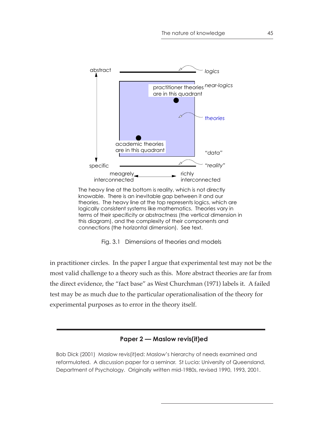

The heavy line at the bottom is reality, which is not directly knowable. There is an inevitable gap between it and our theories. The heavy line at the top represents logics, which are logically consistent systems like mathematics. Theories vary in terms of their specificity or abstractness (the vertical dimension in this diagram), and the complexity of their components and connections (the horizontal dimension). See text.



in practitioner circles. In the paper I argue that experimental test may not be the most valid challenge to a theory such as this. More abstract theories are far from the direct evidence, the "fact base" as West Churchman (1971) labels it. A failed test may be as much due to the particular operationalisation of the theory for experimental purposes as to error in the theory itself.

#### **Paper 2 — Maslow revis(it)ed**

Bob Dick (2001) Maslow revis(it)ed: Maslow's hierarchy of needs examined and reformulated. A discussion paper for a seminar. St Lucia: University of Queensland, Department of Psychology. Originally written mid-1980s, revised 1990, 1993, 2001.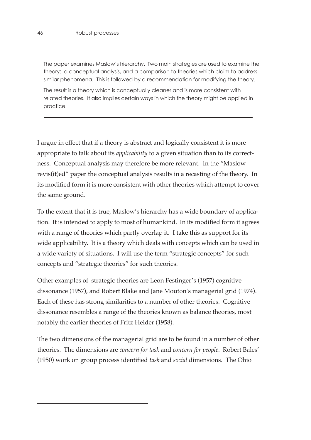The paper examines Maslow's hierarchy. Two main strategies are used to examine the theory: a conceptual analysis, and a comparison to theories which claim to address similar phenomena. This is followed by a recommendation for modifying the theory.

The result is a theory which is conceptually cleaner and is more consistent with related theories. It also implies certain ways in which the theory might be applied in practice.

I argue in effect that if a theory is abstract and logically consistent it is more appropriate to talk about its *applicability* to a given situation than to its correctness. Conceptual analysis may therefore be more relevant. In the "Maslow revis(it)ed" paper the conceptual analysis results in a recasting of the theory. In its modified form it is more consistent with other theories which attempt to cover the same ground.

To the extent that it is true, Maslow's hierarchy has a wide boundary of application. It is intended to apply to most of humankind. In its modified form it agrees with a range of theories which partly overlap it. I take this as support for its wide applicability. It is a theory which deals with concepts which can be used in a wide variety of situations. I will use the term "strategic concepts" for such concepts and "strategic theories" for such theories.

Other examples of strategic theories are Leon Festinger's (1957) cognitive dissonance (1957), and Robert Blake and Jane Mouton's managerial grid (1974). Each of these has strong similarities to a number of other theories. Cognitive dissonance resembles a range of the theories known as balance theories, most notably the earlier theories of Fritz Heider (1958).

The two dimensions of the managerial grid are to be found in a number of other theories. The dimensions are *concern for task* and *concern for people*. Robert Bales' (1950) work on group process identified *task* and *social* dimensions. The Ohio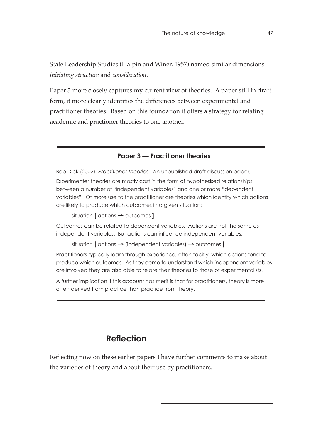State Leadership Studies (Halpin and Winer, 1957) named similar dimensions *initiating structure* and *consideration*.

Paper 3 more closely captures my current view of theories. A paper still in draft form, it more clearly identifies the differences between experimental and practitioner theories. Based on this foundation it offers a strategy for relating academic and practioner theories to one another.

#### **Paper 3 — Practitioner theories**

Bob Dick (2002) *Practitioner theories*. An unpublished draft discussion paper. Experimenter theories are mostly cast in the form of hypothesised relationships between a number of "independent variables" and one or more "dependent variables". Of more use to the practitioner are theories which identify which actions are likely to produce which outcomes in a given situation:

situation **[** actions → outcomes **]**

Outcomes can be related to dependent variables. Actions are not the same as independent variables. But actions can influence independent variables:

situation **[** actions → (independent variables) → outcomes **]**

Practitioners typically learn through experience, often tacitly, which actions tend to produce which outcomes. As they come to understand which independent variables are involved they are also able to relate their theories to those of experimentalists.

A further implication if this account has merit is that for practitioners, theory is more often derived from practice than practice from theory.

## **Reflection**

Reflecting now on these earlier papers I have further comments to make about the varieties of theory and about their use by practitioners.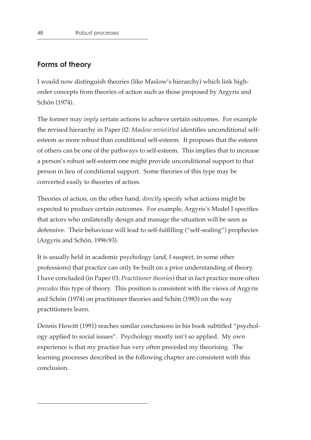#### **Forms of theory**

I would now distinguish theories (like Maslow's hierarchy) which link highorder concepts from theories of action such as those proposed by Argyris and Schön (1974).

The former may *imply* certain actions to achieve certain outcomes. For example the revised hierarchy in Paper 02: *Maslow revis(it)ed* identifies unconditional selfesteem as more robust than conditional self-esteem. It proposes that the esteem of others can be one of the pathways to self-esteem. This implies that to increase a person's robust self-esteem one might provide unconditional support to that person in lieu of conditional support. Some theories of this type may be converted easily to theories of action.

Theories of action, on the other hand, *directly* specify what actions might be expected to produce certain outcomes. For example, Argyris's Model I specifies that actors who unilaterally design and manage the situation will be seen as defensive. Their behaviour will lead to self-fulfilling ("self-sealing") prophecies (Argyris and Schön, 1996:93).

It is usually held in academic psychology (and, I suspect, in some other professions) that practice can only be built on a prior understanding of theory. I have concluded (in Paper 03: *Practitioner theories*) that in fact practice more often *precedes* this type of theory. This position is consistent with the views of Argyris and Schön (1974) on practitioner theories and Schön (1983) on the way practitioners learn.

Dennis Howitt (1991) reaches similar conclusions in his book subtitled "psychology applied to social issues". Psychology mostly isn't so applied. My own experience is that my practice has very often preceded my theorising. The learning processes described in the following chapter are consistent with this conclusion.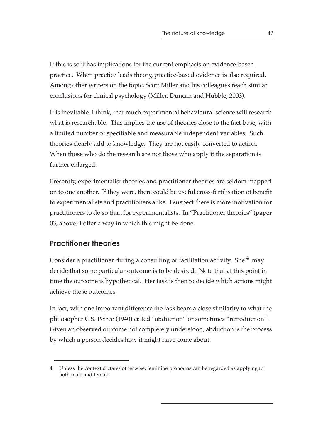If this is so it has implications for the current emphasis on evidence-based practice. When practice leads theory, practice-based evidence is also required. Among other writers on the topic, Scott Miller and his colleagues reach similar conclusions for clinical psychology (Miller, Duncan and Hubble, 2003).

It is inevitable, I think, that much experimental behavioural science will research what is researchable. This implies the use of theories close to the fact-base, with a limited number of specifiable and measurable independent variables. Such theories clearly add to knowledge. They are not easily converted to action. When those who do the research are not those who apply it the separation is further enlarged.

Presently, experimentalist theories and practitioner theories are seldom mapped on to one another. If they were, there could be useful cross-fertilisation of benefit to experimentalists and practitioners alike. I suspect there is more motivation for practitioners to do so than for experimentalists. In "Practitioner theories" (paper 03, above) I offer a way in which this might be done.

## **Practitioner theories**

Consider a practitioner during a consulting or facilitation activity. She  $4$  may decide that some particular outcome is to be desired. Note that at this point in time the outcome is hypothetical. Her task is then to decide which actions might achieve those outcomes.

In fact, with one important difference the task bears a close similarity to what the philosopher C.S. Peirce (1940) called "abduction" or sometimes "retroduction". Given an observed outcome not completely understood, abduction is the process by which a person decides how it might have come about.

<sup>4.</sup> Unless the context dictates otherwise, feminine pronouns can be regarded as applying to both male and female.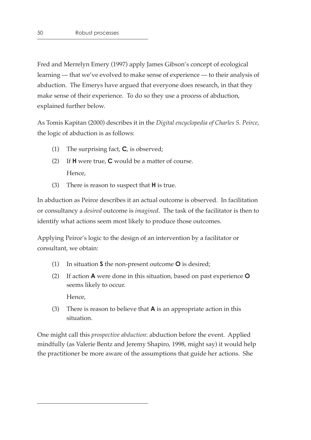Fred and Merrelyn Emery (1997) apply James Gibson's concept of ecological learning — that we've evolved to make sense of experience — to their analysis of abduction. The Emerys have argued that everyone does research, in that they make sense of their experience. To do so they use a process of abduction, explained further below.

As Tomis Kapitan (2000) describes it in the *Digital encyclopedia of Charles S. Peirce*, the logic of abduction is as follows:

- (1) The surprising fact, **C**, is observed;
- (2) If **H** were true, **C** would be a matter of course. Hence,
- (3) There is reason to suspect that **H** is true.

In abduction as Peirce describes it an actual outcome is observed. In facilitation or consultancy a *desired* outcome is *imagined*. The task of the facilitator is then to identify what actions seem most likely to produce those outcomes.

Applying Peirce's logic to the design of an intervention by a facilitator or consultant, we obtain:

- (1) In situation **S** the non-present outcome **O** is desired;
- (2) If action **A** were done in this situation, based on past experience **O** seems likely to occur.

Hence,

(3) There is reason to believe that **A** is an appropriate action in this situation.

One might call this *prospective abduction*: abduction before the event. Applied mindfully (as Valerie Bentz and Jeremy Shapiro, 1998, might say) it would help the practitioner be more aware of the assumptions that guide her actions. She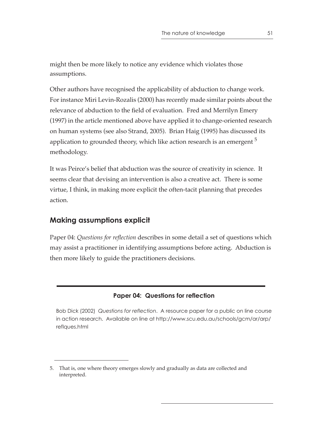might then be more likely to notice any evidence which violates those assumptions.

Other authors have recognised the applicability of abduction to change work. For instance Miri Levin-Rozalis (2000) has recently made similar points about the relevance of abduction to the field of evaluation. Fred and Merrilyn Emery (1997) in the article mentioned above have applied it to change-oriented research on human systems (see also Strand, 2005). Brian Haig (1995) has discussed its application to grounded theory, which like action research is an emergent  $<sup>5</sup>$ </sup> methodology.

It was Peirce's belief that abduction was the source of creativity in science. It seems clear that devising an intervention is also a creative act. There is some virtue, I think, in making more explicit the often-tacit planning that precedes action.

## **Making assumptions explicit**

Paper 04: *Questions for reflection* describes in some detail a set of questions which may assist a practitioner in identifying assumptions before acting. Abduction is then more likely to guide the practitioners decisions.

#### **Paper 04: Questions for reflection**

Bob Dick (2002) *Questions for reflection*. A resource paper for a public on line course in action research. Available on line at http://www.scu.edu.au/schools/gcm/ar/arp/ reflques.html

<sup>5.</sup> That is, one where theory emerges slowly and gradually as data are collected and interpreted.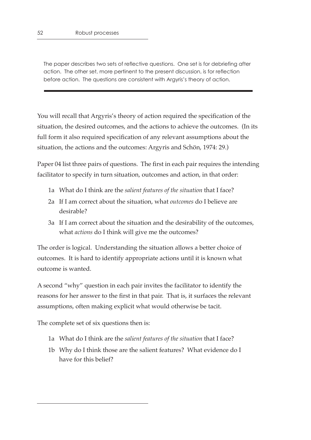The paper describes two sets of reflective questions. One set is for debriefing after action. The other set, more pertinent to the present discussion, is for reflection before action. The questions are consistent with Argyris's theory of action.

You will recall that Argyris's theory of action required the specification of the situation, the desired outcomes, and the actions to achieve the outcomes. (In its full form it also required specification of any relevant assumptions about the situation, the actions and the outcomes: Argyris and Schön, 1974: 29.)

Paper 04 list three pairs of questions. The first in each pair requires the intending facilitator to specify in turn situation, outcomes and action, in that order:

- 1a What do I think are the *salient features of the situation* that I face?
- 2a If I am correct about the situation, what *outcomes* do I believe are desirable?
- 3a If I am correct about the situation and the desirability of the outcomes, what *actions* do I think will give me the outcomes?

The order is logical. Understanding the situation allows a better choice of outcomes. It is hard to identify appropriate actions until it is known what outcome is wanted.

A second "why" question in each pair invites the facilitator to identify the reasons for her answer to the first in that pair. That is, it surfaces the relevant assumptions, often making explicit what would otherwise be tacit.

The complete set of six questions then is:

- 1a What do I think are the *salient features of the situation* that I face?
- 1b Why do I think those are the salient features? What evidence do I have for this belief?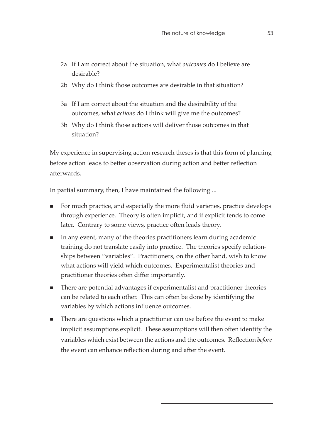- 2a If I am correct about the situation, what *outcomes* do I believe are desirable?
- 2b Why do I think those outcomes are desirable in that situation?
- 3a If I am correct about the situation and the desirability of the outcomes, what *actions* do I think will give me the outcomes?
- 3b Why do I think those actions will deliver those outcomes in that situation?

My experience in supervising action research theses is that this form of planning before action leads to better observation during action and better reflection afterwards.

In partial summary, then, I have maintained the following ...

- For much practice, and especially the more fluid varieties, practice develops through experience. Theory is often implicit, and if explicit tends to come later. Contrary to some views, practice often leads theory.
- In any event, many of the theories practitioners learn during academic training do not translate easily into practice. The theories specify relationships between "variables". Practitioners, on the other hand, wish to know what actions will yield which outcomes. Experimentalist theories and practitioner theories often differ importantly.
- There are potential advantages if experimentalist and practitioner theories can be related to each other. This can often be done by identifying the variables by which actions influence outcomes.
- **There are questions which a practitioner can use before the event to make** implicit assumptions explicit. These assumptions will then often identify the variables which exist between the actions and the outcomes. Reflection *before* the event can enhance reflection during and after the event.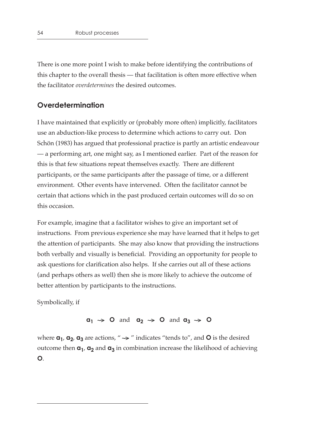There is one more point I wish to make before identifying the contributions of this chapter to the overall thesis — that facilitation is often more effective when the facilitator *overdetermines* the desired outcomes.

#### **Overdetermination**

I have maintained that explicitly or (probably more often) implicitly, facilitators use an abduction-like process to determine which actions to carry out. Don Schön (1983) has argued that professional practice is partly an artistic endeavour — a performing art, one might say, as I mentioned earlier. Part of the reason for this is that few situations repeat themselves exactly. There are different participants, or the same participants after the passage of time, or a different environment. Other events have intervened. Often the facilitator cannot be certain that actions which in the past produced certain outcomes will do so on this occasion.

For example, imagine that a facilitator wishes to give an important set of instructions. From previous experience she may have learned that it helps to get the attention of participants. She may also know that providing the instructions both verbally and visually is beneficial. Providing an opportunity for people to ask questions for clarification also helps. If she carries out all of these actions (and perhaps others as well) then she is more likely to achieve the outcome of better attention by participants to the instructions.

Symbolically, if

#### $a_1 \rightarrow 0$  and  $a_2 \rightarrow 0$  and  $a_3 \rightarrow 0$

where  $\mathbf{a}_1$ ,  $\mathbf{a}_2$ ,  $\mathbf{a}_3$  are actions, "  $\rightarrow$  " indicates "tends to", and  $\mathbf{O}$  is the desired outcome then  $\mathbf{a}_1$ ,  $\mathbf{a}_2$  and  $\mathbf{a}_3$  in combination increase the likelihood of achieving **O**.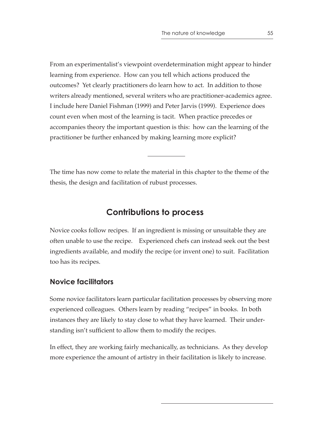From an experimentalist's viewpoint overdetermination might appear to hinder learning from experience. How can you tell which actions produced the outcomes? Yet clearly practitioners do learn how to act. In addition to those writers already mentioned, several writers who are practitioner-academics agree. I include here Daniel Fishman (1999) and Peter Jarvis (1999). Experience does count even when most of the learning is tacit. When practice precedes or accompanies theory the important question is this: how can the learning of the practitioner be further enhanced by making learning more explicit?

The time has now come to relate the material in this chapter to the theme of the thesis, the design and facilitation of rubust processes.

## **Contributions to process**

Novice cooks follow recipes. If an ingredient is missing or unsuitable they are often unable to use the recipe. Experienced chefs can instead seek out the best ingredients available, and modify the recipe (or invent one) to suit. Facilitation too has its recipes.

## **Novice facilitators**

Some novice facilitators learn particular facilitation processes by observing more experienced colleagues. Others learn by reading "recipes" in books. In both instances they are likely to stay close to what they have learned. Their understanding isn't sufficient to allow them to modify the recipes.

In effect, they are working fairly mechanically, as technicians. As they develop more experience the amount of artistry in their facilitation is likely to increase.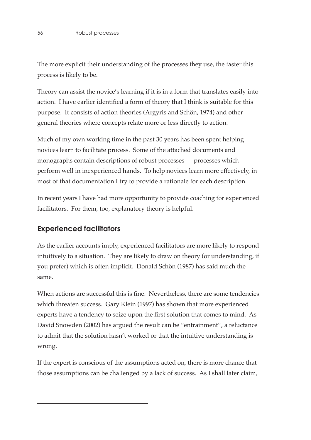The more explicit their understanding of the processes they use, the faster this process is likely to be.

Theory can assist the novice's learning if it is in a form that translates easily into action. I have earlier identified a form of theory that I think is suitable for this purpose. It consists of action theories (Argyris and Schön, 1974) and other general theories where concepts relate more or less directly to action.

Much of my own working time in the past 30 years has been spent helping novices learn to facilitate process. Some of the attached documents and monographs contain descriptions of robust processes — processes which perform well in inexperienced hands. To help novices learn more effectively, in most of that documentation I try to provide a rationale for each description.

In recent years I have had more opportunity to provide coaching for experienced facilitators. For them, too, explanatory theory is helpful.

## **Experienced facilitators**

As the earlier accounts imply, experienced facilitators are more likely to respond intuitively to a situation. They are likely to draw on theory (or understanding, if you prefer) which is often implicit. Donald Schön (1987) has said much the same.

When actions are successful this is fine. Nevertheless, there are some tendencies which threaten success. Gary Klein (1997) has shown that more experienced experts have a tendency to seize upon the first solution that comes to mind. As David Snowden (2002) has argued the result can be "entrainment", a reluctance to admit that the solution hasn't worked or that the intuitive understanding is wrong.

If the expert is conscious of the assumptions acted on, there is more chance that those assumptions can be challenged by a lack of success. As I shall later claim,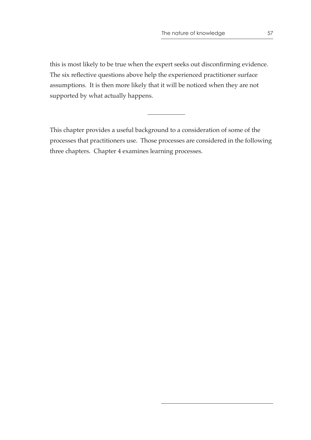this is most likely to be true when the expert seeks out disconfirming evidence. The six reflective questions above help the experienced practitioner surface assumptions. It is then more likely that it will be noticed when they are not supported by what actually happens.

This chapter provides a useful background to a consideration of some of the processes that practitioners use. Those processes are considered in the following three chapters. Chapter 4 examines learning processes.